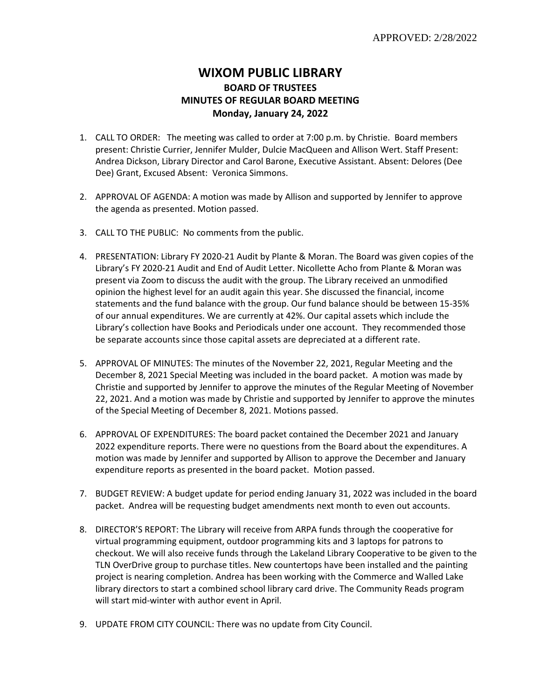## **WIXOM PUBLIC LIBRARY BOARD OF TRUSTEES MINUTES OF REGULAR BOARD MEETING Monday, January 24, 2022**

- 1. CALL TO ORDER: The meeting was called to order at 7:00 p.m. by Christie. Board members present: Christie Currier, Jennifer Mulder, Dulcie MacQueen and Allison Wert. Staff Present: Andrea Dickson, Library Director and Carol Barone, Executive Assistant. Absent: Delores (Dee Dee) Grant, Excused Absent: Veronica Simmons.
- 2. APPROVAL OF AGENDA: A motion was made by Allison and supported by Jennifer to approve the agenda as presented. Motion passed.
- 3. CALL TO THE PUBLIC: No comments from the public.
- 4. PRESENTATION: Library FY 2020-21 Audit by Plante & Moran. The Board was given copies of the Library's FY 2020-21 Audit and End of Audit Letter. Nicollette Acho from Plante & Moran was present via Zoom to discuss the audit with the group. The Library received an unmodified opinion the highest level for an audit again this year. She discussed the financial, income statements and the fund balance with the group. Our fund balance should be between 15-35% of our annual expenditures. We are currently at 42%. Our capital assets which include the Library's collection have Books and Periodicals under one account. They recommended those be separate accounts since those capital assets are depreciated at a different rate.
- 5. APPROVAL OF MINUTES: The minutes of the November 22, 2021, Regular Meeting and the December 8, 2021 Special Meeting was included in the board packet. A motion was made by Christie and supported by Jennifer to approve the minutes of the Regular Meeting of November 22, 2021. And a motion was made by Christie and supported by Jennifer to approve the minutes of the Special Meeting of December 8, 2021. Motions passed.
- 6. APPROVAL OF EXPENDITURES: The board packet contained the December 2021 and January 2022 expenditure reports. There were no questions from the Board about the expenditures. A motion was made by Jennifer and supported by Allison to approve the December and January expenditure reports as presented in the board packet. Motion passed.
- 7. BUDGET REVIEW: A budget update for period ending January 31, 2022 was included in the board packet. Andrea will be requesting budget amendments next month to even out accounts.
- 8. DIRECTOR'S REPORT: The Library will receive from ARPA funds through the cooperative for virtual programming equipment, outdoor programming kits and 3 laptops for patrons to checkout. We will also receive funds through the Lakeland Library Cooperative to be given to the TLN OverDrive group to purchase titles. New countertops have been installed and the painting project is nearing completion. Andrea has been working with the Commerce and Walled Lake library directors to start a combined school library card drive. The Community Reads program will start mid-winter with author event in April.
- 9. UPDATE FROM CITY COUNCIL: There was no update from City Council.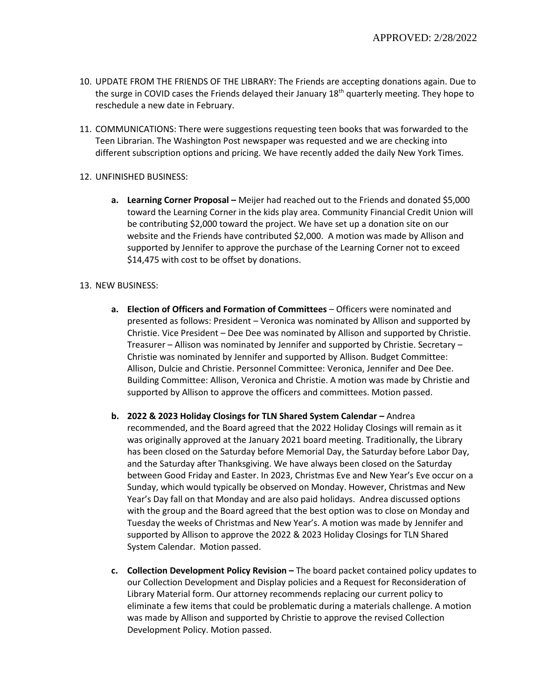- 10. UPDATE FROM THE FRIENDS OF THE LIBRARY: The Friends are accepting donations again. Due to the surge in COVID cases the Friends delayed their January 18<sup>th</sup> quarterly meeting. They hope to reschedule a new date in February.
- 11. COMMUNICATIONS: There were suggestions requesting teen books that was forwarded to the Teen Librarian. The Washington Post newspaper was requested and we are checking into different subscription options and pricing. We have recently added the daily New York Times.
- 12. UNFINISHED BUSINESS:
	- **a.** Learning Corner Proposal Meijer had reached out to the Friends and donated \$5,000 toward the Learning Corner in the kids play area. Community Financial Credit Union will be contributing \$2,000 toward the project. We have set up a donation site on our website and the Friends have contributed \$2,000. A motion was made by Allison and supported by Jennifer to approve the purchase of the Learning Corner not to exceed \$14,475 with cost to be offset by donations.

## 13. NEW BUSINESS:

- **a. Election of Officers and Formation of Committees** Officers were nominated and presented as follows: President – Veronica was nominated by Allison and supported by Christie. Vice President – Dee Dee was nominated by Allison and supported by Christie. Treasurer – Allison was nominated by Jennifer and supported by Christie. Secretary – Christie was nominated by Jennifer and supported by Allison. Budget Committee: Allison, Dulcie and Christie. Personnel Committee: Veronica, Jennifer and Dee Dee. Building Committee: Allison, Veronica and Christie. A motion was made by Christie and supported by Allison to approve the officers and committees. Motion passed.
- **b. 2022 & 2023 Holiday Closings for TLN Shared System Calendar –** Andrea recommended, and the Board agreed that the 2022 Holiday Closings will remain as it was originally approved at the January 2021 board meeting. Traditionally, the Library has been closed on the Saturday before Memorial Day, the Saturday before Labor Day, and the Saturday after Thanksgiving. We have always been closed on the Saturday between Good Friday and Easter. In 2023, Christmas Eve and New Year's Eve occur on a Sunday, which would typically be observed on Monday. However, Christmas and New Year's Day fall on that Monday and are also paid holidays. Andrea discussed options with the group and the Board agreed that the best option was to close on Monday and Tuesday the weeks of Christmas and New Year's. A motion was made by Jennifer and supported by Allison to approve the 2022 & 2023 Holiday Closings for TLN Shared System Calendar. Motion passed.
- **c. Collection Development Policy Revision –** The board packet contained policy updates to our Collection Development and Display policies and a Request for Reconsideration of Library Material form. Our attorney recommends replacing our current policy to eliminate a few items that could be problematic during a materials challenge. A motion was made by Allison and supported by Christie to approve the revised Collection Development Policy. Motion passed.